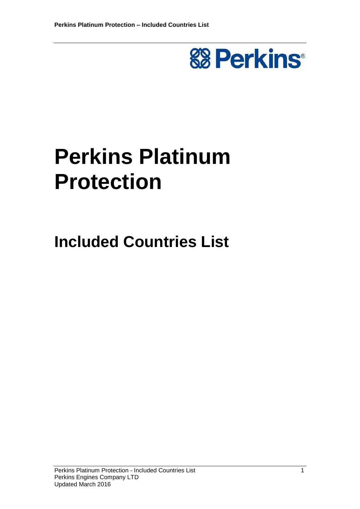

## **Perkins Platinum Protection**

## **Included Countries List**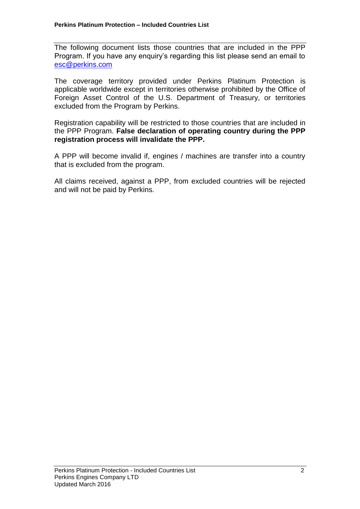The following document lists those countries that are included in the PPP Program. If you have any enquiry's regarding this list please send an email to [esc@perkins.com](mailto:esc@perkins.com)

The coverage territory provided under Perkins Platinum Protection is applicable worldwide except in territories otherwise prohibited by the Office of Foreign Asset Control of the U.S. Department of Treasury, or territories excluded from the Program by Perkins.

Registration capability will be restricted to those countries that are included in the PPP Program. **False declaration of operating country during the PPP registration process will invalidate the PPP.**

A PPP will become invalid if, engines / machines are transfer into a country that is excluded from the program.

All claims received, against a PPP, from excluded countries will be rejected and will not be paid by Perkins.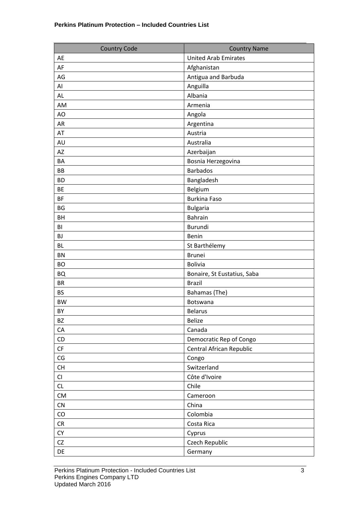| <b>Country Code</b> | <b>Country Name</b>         |
|---------------------|-----------------------------|
| AE                  | <b>United Arab Emirates</b> |
| AF                  | Afghanistan                 |
| AG                  | Antigua and Barbuda         |
| AI                  | Anguilla                    |
| <b>AL</b>           | Albania                     |
| AM                  | Armenia                     |
| AO                  | Angola                      |
| AR                  | Argentina                   |
| AT                  | Austria                     |
| AU                  | Australia                   |
| AZ                  | Azerbaijan                  |
| BA                  | Bosnia Herzegovina          |
| BB                  | <b>Barbados</b>             |
| <b>BD</b>           | Bangladesh                  |
| <b>BE</b>           | Belgium                     |
| BF                  | <b>Burkina Faso</b>         |
| BG                  | <b>Bulgaria</b>             |
| BH                  | <b>Bahrain</b>              |
| BI                  | Burundi                     |
| BJ                  | Benin                       |
| <b>BL</b>           | St Barthélemy               |
| <b>BN</b>           | <b>Brunei</b>               |
| <b>BO</b>           | <b>Bolivia</b>              |
| <b>BQ</b>           | Bonaire, St Eustatius, Saba |
| <b>BR</b>           | <b>Brazil</b>               |
| <b>BS</b>           | Bahamas (The)               |
| <b>BW</b>           | Botswana                    |
| BY                  | <b>Belarus</b>              |
| <b>BZ</b>           | Belize                      |
| ${\sf CA}$          | Canada                      |
| CD                  | Democratic Rep of Congo     |
| $\mathsf{CF}$       | Central African Republic    |
| CG                  | Congo                       |
| CH                  | Switzerland                 |
| CI                  | Côte d'Ivoire               |
| CL                  | Chile                       |
| <b>CM</b>           | Cameroon                    |
| CN                  | China                       |
| CO                  | Colombia                    |
| CR                  | Costa Rica                  |
| <b>CY</b>           | Cyprus                      |
| CZ                  | Czech Republic              |
| DE                  | Germany                     |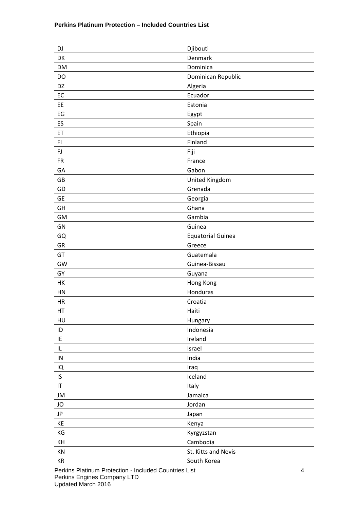| DJ         | Djibouti                 |
|------------|--------------------------|
| DK         | Denmark                  |
| <b>DM</b>  | Dominica                 |
| DO         | Dominican Republic       |
| DZ         | Algeria                  |
| EC         | Ecuador                  |
| EE         | Estonia                  |
| EG         | Egypt                    |
| ES         | Spain                    |
| ET         | Ethiopia                 |
| FI.        | Finland                  |
| ${\sf FJ}$ | Fiji                     |
| FR         | France                   |
| GA         | Gabon                    |
| GB         | United Kingdom           |
| GD         | Grenada                  |
| <b>GE</b>  | Georgia                  |
| GH         | Ghana                    |
| GM         | Gambia                   |
| GN         | Guinea                   |
| GQ         | <b>Equatorial Guinea</b> |
| GR         | Greece                   |
| GT         | Guatemala                |
| GW         | Guinea-Bissau            |
| GY         | Guyana                   |
| HK         | Hong Kong                |
| HN         | Honduras                 |
| HR         | Croatia                  |
| HT         | Haiti                    |
| HU         | Hungary                  |
| ID         | Indonesia                |
| IE         | Ireland                  |
| IL         | Israel                   |
| ${\sf IN}$ | India                    |
| IQ         | Iraq                     |
| IS         | Iceland                  |
| IT.        | Italy                    |
| JM         | Jamaica                  |
| JO         | Jordan                   |
| JP         | Japan                    |
| KE         | Kenya                    |
| KG         | Kyrgyzstan               |
| KH         | Cambodia                 |
| KN         | St. Kitts and Nevis      |
| KR         | South Korea              |

**Perkins Platinum Protection - Included Countries List 44 Apple 2014** Perkins Engines Company LTD Updated March 2016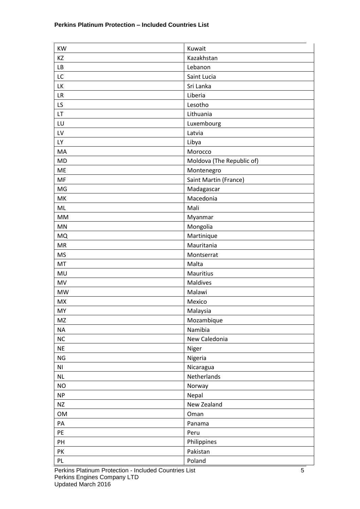| KW        | Kuwait                    |
|-----------|---------------------------|
| KZ        | Kazakhstan                |
| LB        | Lebanon                   |
| LC        | Saint Lucia               |
| LK        | Sri Lanka                 |
| LR        | Liberia                   |
| LS        | Lesotho                   |
| LT        | Lithuania                 |
| LU        | Luxembourg                |
| LV        | Latvia                    |
| LY        | Libya                     |
| MA        | Morocco                   |
| <b>MD</b> | Moldova (The Republic of) |
| ME        | Montenegro                |
| MF        | Saint Martin (France)     |
| MG        | Madagascar                |
| MK        | Macedonia                 |
| ML        | Mali                      |
| MM        | Myanmar                   |
| MN        | Mongolia                  |
| <b>MQ</b> | Martinique                |
| MR        | Mauritania                |
| <b>MS</b> | Montserrat                |
| MT        | Malta                     |
| MU        | Mauritius                 |
| MV        | Maldives                  |
| <b>MW</b> | Malawi                    |
| <b>MX</b> | Mexico                    |
| MY        | Malaysia                  |
| MZ        | Mozambique                |
| <b>NA</b> | Namibia                   |
| NC        | New Caledonia             |
| <b>NE</b> | Niger                     |
| <b>NG</b> | Nigeria                   |
| ΝI        | Nicaragua                 |
| <b>NL</b> | Netherlands               |
| <b>NO</b> | Norway                    |
| <b>NP</b> | Nepal                     |
| <b>NZ</b> | New Zealand               |
| OM        | Oman                      |
| PA        | Panama                    |
| PE        | Peru                      |
| PH        | Philippines               |
| PK        | Pakistan                  |
| PL        | Poland                    |

**Perkins Platinum Protection - Included Countries List 5 5** Perkins Engines Company LTD Updated March 2016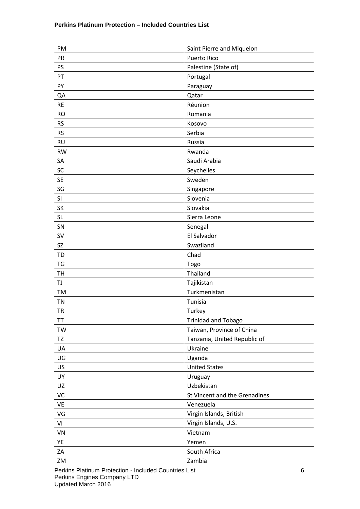| PM        | Saint Pierre and Miquelon     |
|-----------|-------------------------------|
| PR        | <b>Puerto Rico</b>            |
| PS        | Palestine (State of)          |
| PT        | Portugal                      |
| PY        | Paraguay                      |
| QA        | Qatar                         |
| <b>RE</b> | Réunion                       |
| <b>RO</b> | Romania                       |
| <b>RS</b> | Kosovo                        |
| <b>RS</b> | Serbia                        |
| <b>RU</b> | Russia                        |
| <b>RW</b> | Rwanda                        |
| SA        | Saudi Arabia                  |
| SC        | Seychelles                    |
| <b>SE</b> | Sweden                        |
| SG        | Singapore                     |
| SI        | Slovenia                      |
| SK        | Slovakia                      |
| <b>SL</b> | Sierra Leone                  |
| SN        | Senegal                       |
| SV        | El Salvador                   |
| SZ        | Swaziland                     |
| TD        | Chad                          |
| TG        | Togo                          |
| <b>TH</b> | Thailand                      |
| TJ        | Tajikistan                    |
| TM        | Turkmenistan                  |
| TN        | Tunisia                       |
| <b>TR</b> | Turkey                        |
| TT        | <b>Trinidad and Tobago</b>    |
| TW        | Taiwan, Province of China     |
| TZ        | Tanzania, United Republic of  |
| UA        | Ukraine                       |
| UG        | Uganda                        |
| US        | <b>United States</b>          |
| UY        | Uruguay                       |
| UZ        | Uzbekistan                    |
| VC        | St Vincent and the Grenadines |
| VE        | Venezuela                     |
| VG        | Virgin Islands, British       |
| VI        | Virgin Islands, U.S.          |
| VN        | Vietnam                       |
| YE        | Yemen                         |
| ZA        | South Africa                  |
| ZM        | Zambia                        |

**Perkins Platinum Protection - Included Countries List 6** Perkins Engines Company LTD Updated March 2016